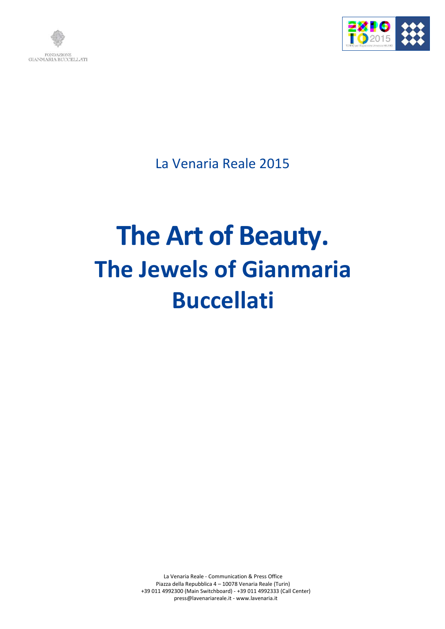



La Venaria Reale 2015

# **The Art of Beauty. The Jewels of Gianmaria Buccellati**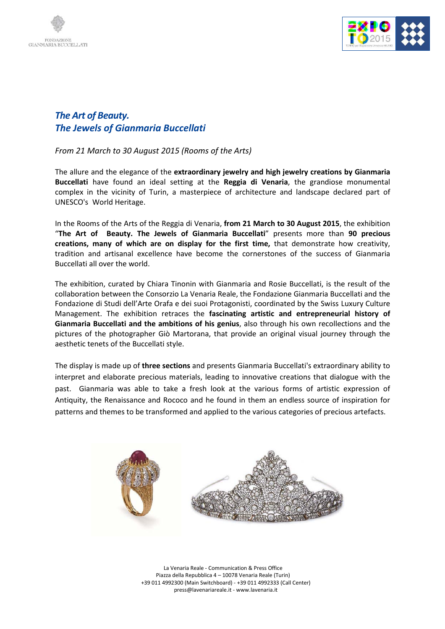



### *The Art of Beauty. The Jewels of Gianmaria Buccellati*

*From 21 March to 30 August 2015 (Rooms of the Arts)*

The allure and the elegance of the **extraordinary jewelry and high jewelry creations by Gianmaria Buccellati** have found an ideal setting at the **Reggia di Venaria**, the grandiose monumental complex in the vicinity of Turin, a masterpiece of architecture and landscape declared part of UNESCO's World Heritage.

In the Rooms of the Arts of the Reggia di Venaria, **from 21 March to 30 August 2015**, the exhibition "**The Art of Beauty. The Jewels of Gianmaria Buccellati**" presents more than **90 precious creations, many of which are on display for the first time,** that demonstrate how creativity, tradition and artisanal excellence have become the cornerstones of the success of Gianmaria Buccellati all over the world.

The exhibition, curated by Chiara Tinonin with Gianmaria and Rosie Buccellati, is the result of the collaboration between the Consorzio La Venaria Reale, the Fondazione Gianmaria Buccellati and the Fondazione di Studi dell'Arte Orafa e dei suoi Protagonisti, coordinated by the Swiss Luxury Culture Management. The exhibition retraces the **fascinating artistic and entrepreneurial history of Gianmaria Buccellati and the ambitions of his genius**, also through his own recollections and the pictures of the photographer Giò Martorana, that provide an original visual journey through the aesthetic tenets of the Buccellati style.

The display is made up of **three sections** and presents Gianmaria Buccellati's extraordinary ability to interpret and elaborate precious materials, leading to innovative creations that dialogue with the past. Gianmaria was able to take a fresh look at the various forms of artistic expression of Antiquity, the Renaissance and Rococo and he found in them an endless source of inspiration for patterns and themes to be transformed and applied to the various categories of precious artefacts.

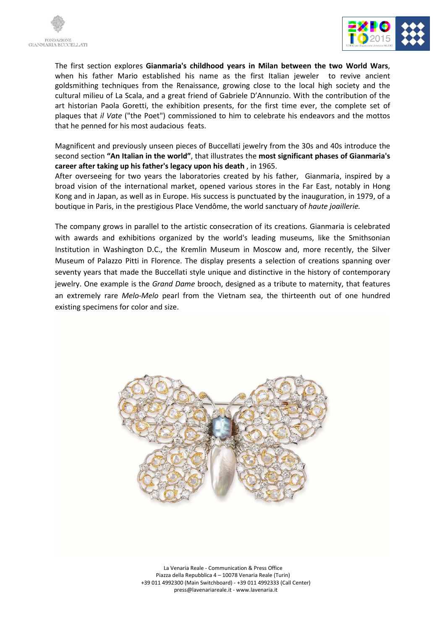



The first section explores **Gianmaria's childhood years in Milan between the two World Wars**, when his father Mario established his name as the first Italian jeweler to revive ancient goldsmithing techniques from the Renaissance, growing close to the local high society and the cultural milieu of La Scala, and a great friend of Gabriele D'Annunzio. With the contribution of the art historian Paola Goretti, the exhibition presents, for the first time ever, the complete set of plaques that *il Vate* ("the Poet") commissioned to him to celebrate his endeavors and the mottos that he penned for his most audacious feats.

Magnificent and previously unseen pieces of Buccellati jewelry from the 30s and 40s introduce the second section **"An Italian in the world"**, that illustrates the **most significant phases of Gianmaria's career after taking up his father's legacy upon his death** , in 1965.

After overseeing for two years the laboratories created by his father, Gianmaria, inspired by a broad vision of the international market, opened various stores in the Far East, notably in Hong Kong and in Japan, as well as in Europe. His success is punctuated by the inauguration, in 1979, of a boutique in Paris, in the prestigious Place Vendôme, the world sanctuary of *haute joaillerie.*

The company grows in parallel to the artistic consecration of its creations. Gianmaria is celebrated with awards and exhibitions organized by the world's leading museums, like the Smithsonian Institution in Washington D.C., the Kremlin Museum in Moscow and, more recently, the Silver Museum of Palazzo Pitti in Florence. The display presents a selection of creations spanning over seventy years that made the Buccellati style unique and distinctive in the history of contemporary jewelry. One example is the *Grand Dame* brooch, designed as a tribute to maternity, that features an extremely rare *Melo-Melo* pearl from the Vietnam sea, the thirteenth out of one hundred existing specimens for color and size.

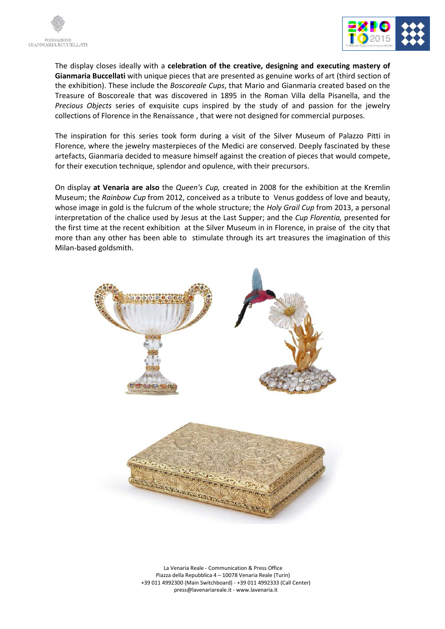



The display closes ideally with a **celebration of the creative, designing and executing mastery of Gianmaria Buccellati** with unique pieces that are presented as genuine works of art (third section of the exhibition). These include the *Boscoreale Cups*, that Mario and Gianmaria created based on the Treasure of Boscoreale that was discovered in 1895 in the Roman Villa della Pisanella, and the *Precious Objects* series of exquisite cups inspired by the study of and passion for the jewelry collections of Florence in the Renaissance , that were not designed for commercial purposes.

The inspiration for this series took form during a visit of the Silver Museum of Palazzo Pitti in Florence, where the jewelry masterpieces of the Medici are conserved. Deeply fascinated by these artefacts, Gianmaria decided to measure himself against the creation of pieces that would compete, for their execution technique, splendor and opulence, with their precursors.

On display **at Venaria are also** the *Queen's Cup,* created in 2008 for the exhibition at the Kremlin Museum; the *Rainbow Cup* from 2012, conceived as a tribute to Venus goddess of love and beauty, whose image in gold is the fulcrum of the whole structure; the *Holy Grail Cup* from 2013, a personal interpretation of the chalice used by Jesus at the Last Supper; and the *Cup Florentia,* presented for the first time at the recent exhibition at the Silver Museum in in Florence, in praise of the city that more than any other has been able to stimulate through its art treasures the imagination of this Milan-based goldsmith.

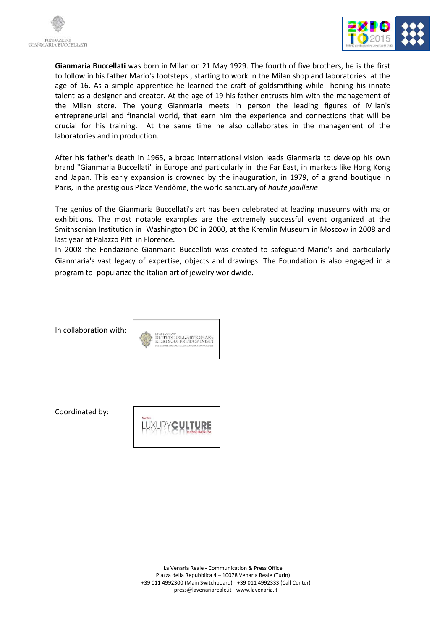



**Gianmaria Buccellati** was born in Milan on 21 May 1929. The fourth of five brothers, he is the first to follow in his father Mario's footsteps , starting to work in the Milan shop and laboratories at the age of 16. As a simple apprentice he learned the craft of goldsmithing while honing his innate talent as a designer and creator. At the age of 19 his father entrusts him with the management of the Milan store. The young Gianmaria meets in person the leading figures of Milan's entrepreneurial and financial world, that earn him the experience and connections that will be crucial for his training. At the same time he also collaborates in the management of the laboratories and in production.

After his father's death in 1965, a broad international vision leads Gianmaria to develop his own brand "Gianmaria Buccellati" in Europe and particularly in the Far East, in markets like Hong Kong and Japan. This early expansion is crowned by the inauguration, in 1979, of a grand boutique in Paris, in the prestigious Place Vendôme, the world sanctuary of *haute joaillerie*.

The genius of the Gianmaria Buccellati's art has been celebrated at leading museums with major exhibitions. The most notable examples are the extremely successful event organized at the Smithsonian Institution in Washington DC in 2000, at the Kremlin Museum in Moscow in 2008 and last year at Palazzo Pitti in Florence.

In 2008 the Fondazione Gianmaria Buccellati was created to safeguard Mario's and particularly Gianmaria's vast legacy of expertise, objects and drawings. The Foundation is also engaged in a program to popularize the Italian art of jewelry worldwide.

In collaboration with:



Coordinated by:

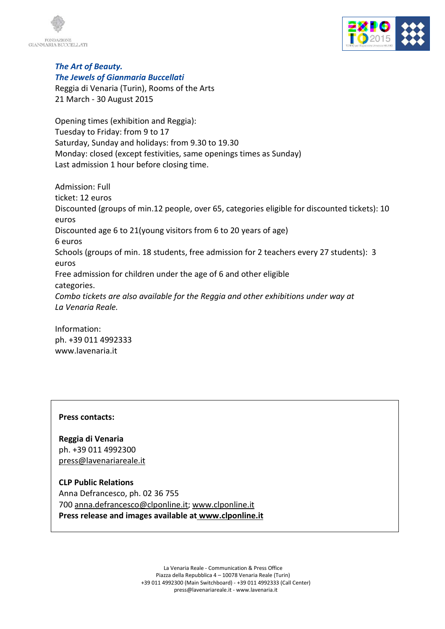



#### *The Art of Beauty. The Jewels of Gianmaria Buccellati*

Reggia di Venaria (Turin), Rooms of the Arts 21 March - 30 August 2015

Opening times (exhibition and Reggia): Tuesday to Friday: from 9 to 17 Saturday, Sunday and holidays: from 9.30 to 19.30 Monday: closed (except festivities, same openings times as Sunday) Last admission 1 hour before closing time.

Admission: Full ticket: 12 euros Discounted (groups of min.12 people, over 65, categories eligible for discounted tickets): 10 euros Discounted age 6 to 21(young visitors from 6 to 20 years of age) 6 euros Schools (groups of min. 18 students, free admission for 2 teachers every 27 students): 3 euros Free admission for children under the age of 6 and other eligible categories. *Combo tickets are also available for the Reggia and other exhibitions under way at La Venaria Reale.*

Information: ph. +39 011 4992333 www.lavenaria.it

#### **Press contacts:**

**Reggia di Venaria** ph. +39 011 4992300 press@lavenariareale.it

## **CLP Public Relations**

Anna Defrancesco, ph. 02 36 755 700 anna.defrancesco@clponline.it; www.clponline.it **Press release and images available at www.clponline.it**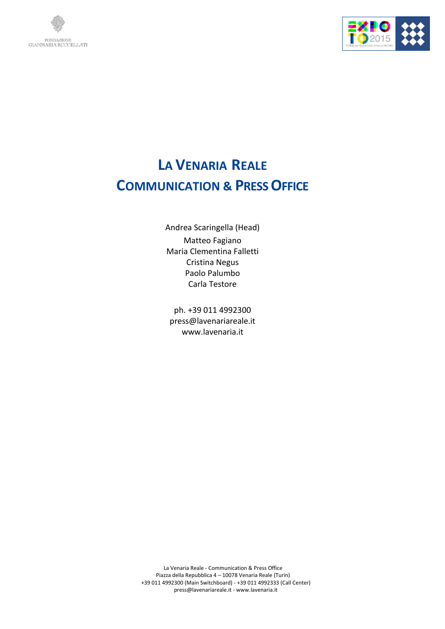



# **LA VENARIA REALE COMMUNICATION & PRESS OFFICE**

Andrea Scaringella (Head) Matteo Fagiano Maria Clementina Falletti Cristina Negus Paolo Palumbo Carla Testore

ph. +39 011 4992300 press@lavenariareale.it www.lavenaria.it